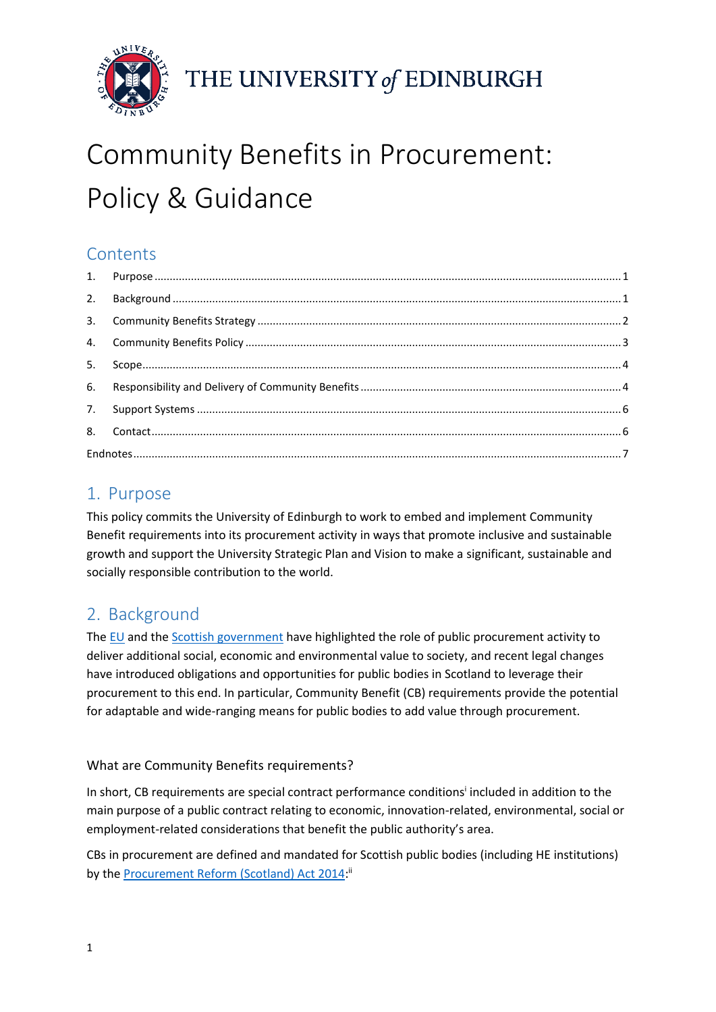

THE UNIVERSITY of EDINBURGH

# Community Benefits in Procurement: Policy & Guidance

# **Contents**

## <span id="page-0-0"></span>1. Purpose

This policy commits the University of Edinburgh to work to embed and implement Community Benefit requirements into its procurement activity in ways that promote inclusive and sustainable growth and support the University Strategic Plan and Vision to make a significant, sustainable and socially responsible contribution to the world.

# <span id="page-0-1"></span>2. Background

The [EU](https://ec.europa.eu/growth/single-market/public-procurement/strategy_en) and th[e Scottish government](http://www.gov.scot/Topics/Government/Procurement/policy/corporate-responsibility/CSR/SSPAP/ComBen) have highlighted the role of public procurement activity to deliver additional social, economic and environmental value to society, and recent legal changes have introduced obligations and opportunities for public bodies in Scotland to leverage their procurement to this end. In particular, Community Benefit (CB) requirements provide the potential for adaptable and wide-ranging means for public bodies to add value through procurement.

#### What are Community Benefits requirements?

In short, CB requirements are special contract performance conditions<sup>i</sup> included in addition to the main purpose of a public contract relating to economic, innovation-related, environmental, social or employment-related considerations that benefit the public authority's area.

CBs in procurement are defined and mandated for Scottish public bodies (including HE institutions) by th[e Procurement Reform \(Scotland\) Act 2014:](https://www.legislation.gov.uk/asp/2014/12/contents)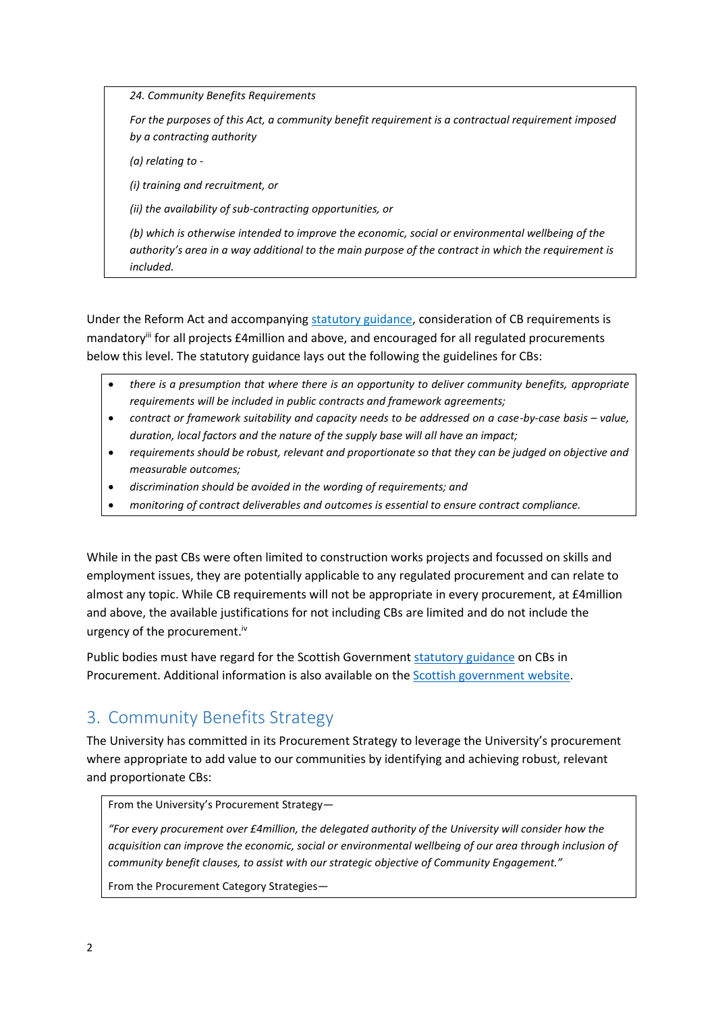*24. Community Benefits Requirements*

*For the purposes of this Act, a community benefit requirement is a contractual requirement imposed by a contracting authority*

*(a) relating to -*

*(i) training and recruitment, or*

*(ii) the availability of sub-contracting opportunities, or*

*(b) which is otherwise intended to improve the economic, social or environmental wellbeing of the authority's area in a way additional to the main purpose of the contract in which the requirement is included.*

Under the Reform Act and accompanying [statutory guidance,](http://www.gov.scot/Publications/2016/03/8410/4) consideration of CB requirements is mandatory<sup>iii</sup> for all projects £4million and above, and encouraged for all regulated procurements below this level. The statutory guidance lays out the following the guidelines for CBs:

- *there is a presumption that where there is an opportunity to deliver community benefits, appropriate requirements will be included in public contracts and framework agreements;*
- **•** contract or framework suitability and capacity needs to be addressed on a case-by-case basis value, *duration, local factors and the nature of the supply base will all have an impact;*
- *requirements should be robust, relevant and proportionate so that they can be judged on objective and measurable outcomes;*
- *discrimination should be avoided in the wording of requirements; and*
- *monitoring of contract deliverables and outcomes is essential to ensure contract compliance.*

While in the past CBs were often limited to construction works projects and focussed on skills and employment issues, they are potentially applicable to any regulated procurement and can relate to almost any topic. While CB requirements will not be appropriate in every procurement, at £4million and above, the available justifications for not including CBs are limited and do not include the urgency of the procurement.<sup>iv</sup>

Public bodies must have regard for the Scottish Government [statutory guidance](http://www.gov.scot/Publications/2016/03/8410/4) on CBs in Procurement. Additional information is also available on the **Scottish government website**.

## <span id="page-1-0"></span>3. Community Benefits Strategy

The University has committed in its Procurement Strategy to leverage the University's procurement where appropriate to add value to our communities by identifying and achieving robust, relevant and proportionate CBs:

From the University's Procurement Strategy—

*"For every procurement over £4million, the delegated authority of the University will consider how the acquisition can improve the economic, social or environmental wellbeing of our area through inclusion of community benefit clauses, to assist with our strategic objective of Community Engagement."*

From the Procurement Category Strategies—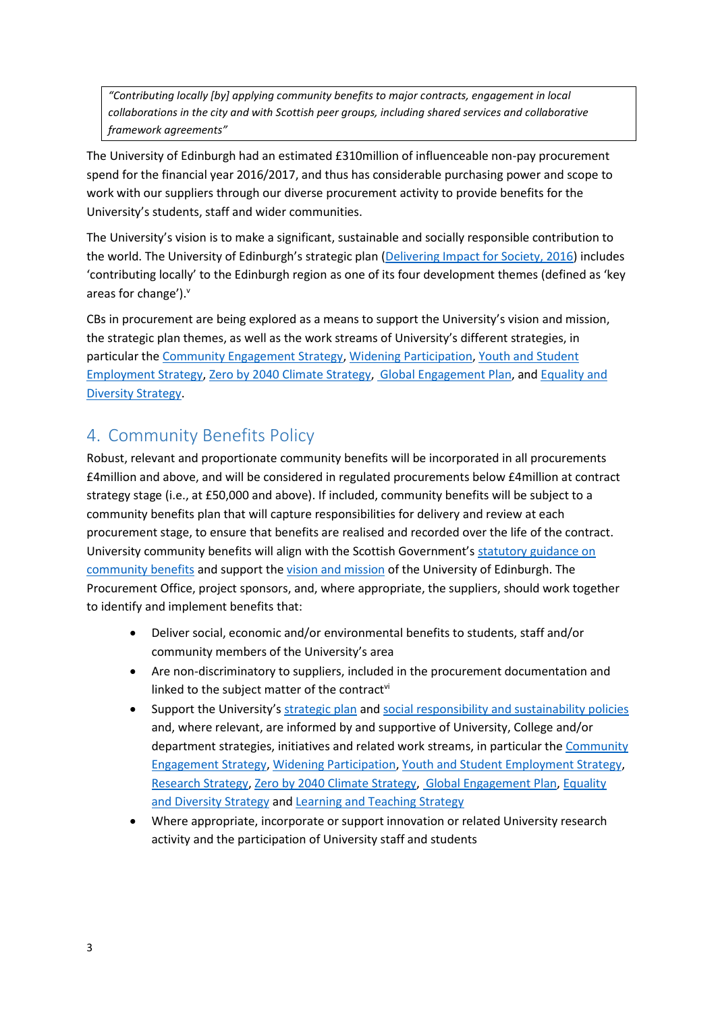*"Contributing locally [by] applying community benefits to major contracts, engagement in local collaborations in the city and with Scottish peer groups, including shared services and collaborative framework agreements"*

The University of Edinburgh had an estimated £310million of influenceable non-pay procurement spend for the financial year 2016/2017, and thus has considerable purchasing power and scope to work with our suppliers through our diverse procurement activity to provide benefits for the University's students, staff and wider communities.

The University's vision is to make a significant, sustainable and socially responsible contribution to the world. The University of Edinburgh's strategic plan ([Delivering Impact for Society, 2016\)](http://www.ed.ac.uk/governance-strategic-planning/strategic-planning/strategic-plan/vision-and-mission) includes 'contributing locally' to the Edinburgh region as one of its four development themes (defined as 'key areas for change'). $<sup>v</sup>$ </sup>

CBs in procurement are being explored as a means to support the University's vision and mission, the strategic plan themes, as well as the work streams of University's different strategies, in particular the [Community Engagement Strategy,](https://www.ed.ac.uk/local/community-matters) [Widening Participation,](http://www.ed.ac.uk/about/sustainability/themes/community/widening-participation) [Youth and Student](https://www.ed.ac.uk/human-resources/recruitment/youth-talent/youth-and-student-employment-strategy)  [Employment Strategy,](https://www.ed.ac.uk/human-resources/recruitment/youth-talent/youth-and-student-employment-strategy) [Zero by 2040 Climate Strategy,](http://www.ed.ac.uk/about/sustainability/themes/climate-change/climate-strategy) [Global Engagement Plan,](https://global.ed.ac.uk/our-work/global-profile) an[d Equality and](http://www.ed.ac.uk/equality-diversity/about/strategy-action-plan)  [Diversity Strategy.](http://www.ed.ac.uk/equality-diversity/about/strategy-action-plan)

#### <span id="page-2-0"></span>4. Community Benefits Policy

Robust, relevant and proportionate community benefits will be incorporated in all procurements £4million and above, and will be considered in regulated procurements below £4million at contract strategy stage (i.e., at £50,000 and above). If included, community benefits will be subject to a community benefits plan that will capture responsibilities for delivery and review at each procurement stage, to ensure that benefits are realised and recorded over the life of the contract. University community benefits will align with the Scottish Government's [statutory guidance](http://www.gov.scot/Publications/2016/03/8410/4) on [community benefits](http://www.gov.scot/Publications/2016/03/8410/4) and support th[e vision and mission](http://www.ed.ac.uk/governance-strategic-planning/strategic-planning/strategic-plan/vision-and-mission) of the University of Edinburgh. The Procurement Office, project sponsors, and, where appropriate, the suppliers, should work together to identify and implement benefits that:

- Deliver social, economic and/or environmental benefits to students, staff and/or community members of the University's area
- Are non-discriminatory to suppliers, included in the procurement documentation and linked to the subject matter of the contractvi
- Support the University's [strategic plan](http://www.ed.ac.uk/governance-strategic-planning/strategic-planning/strategic-plan/vision-and-mission) and [social responsibility and sustainability policies](http://www.ed.ac.uk/about/sustainability/governance-publications-reports) and, where relevant, are informed by and supportive of University, College and/or department strategies, initiatives and related work streams, in particular th[e Community](https://www.ed.ac.uk/local/community-matters)  [Engagement Strategy,](https://www.ed.ac.uk/local/community-matters) [Widening Participation,](http://www.ed.ac.uk/about/sustainability/themes/community/widening-participation) [Youth and Student Employment Strategy,](https://www.ed.ac.uk/human-resources/recruitment/youth-talent/youth-and-student-employment-strategy) [Research Strategy,](https://www.ed.ac.uk/research-support-office/toolkit-for-applicants/university-of-edinburgh-research-strategy) [Zero by 2040 Climate Strategy,](http://www.ed.ac.uk/about/sustainability/themes/climate-change/climate-strategy) [Global Engagement Plan,](https://global.ed.ac.uk/our-work/global-profile) [Equality](http://www.ed.ac.uk/equality-diversity/about/strategy-action-plan)  [and Diversity Strategy](http://www.ed.ac.uk/equality-diversity/about/strategy-action-plan) and [Learning and Teaching Strategy](https://www.ed.ac.uk/files/atoms/files/learning_teaching_strategy.pdf)
- Where appropriate, incorporate or support innovation or related University research activity and the participation of University staff and students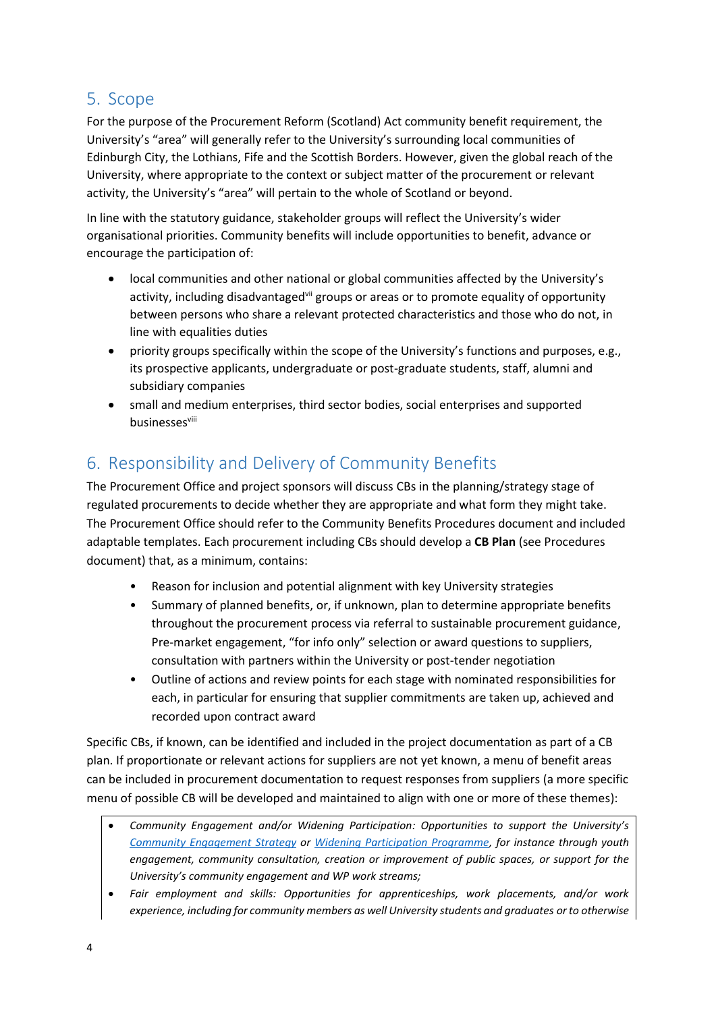#### <span id="page-3-0"></span>5. Scope

For the purpose of the Procurement Reform (Scotland) Act community benefit requirement, the University's "area" will generally refer to the University's surrounding local communities of Edinburgh City, the Lothians, Fife and the Scottish Borders. However, given the global reach of the University, where appropriate to the context or subject matter of the procurement or relevant activity, the University's "area" will pertain to the whole of Scotland or beyond.

In line with the statutory guidance, stakeholder groups will reflect the University's wider organisational priorities. Community benefits will include opportunities to benefit, advance or encourage the participation of:

- local communities and other national or global communities affected by the University's activity, including disadvantaged<sup>vii</sup> groups or areas or to promote equality of opportunity between persons who share a relevant protected characteristics and those who do not, in line with equalities duties
- priority groups specifically within the scope of the University's functions and purposes, e.g., its prospective applicants, undergraduate or post-graduate students, staff, alumni and subsidiary companies
- small and medium enterprises, third sector bodies, social enterprises and supported businessesviii

# <span id="page-3-1"></span>6. Responsibility and Delivery of Community Benefits

The Procurement Office and project sponsors will discuss CBs in the planning/strategy stage of regulated procurements to decide whether they are appropriate and what form they might take. The Procurement Office should refer to the Community Benefits Procedures document and included adaptable templates. Each procurement including CBs should develop a **CB Plan** (see Procedures document) that, as a minimum, contains:

- Reason for inclusion and potential alignment with key University strategies
- Summary of planned benefits, or, if unknown, plan to determine appropriate benefits throughout the procurement process via referral to sustainable procurement guidance, Pre-market engagement, "for info only" selection or award questions to suppliers, consultation with partners within the University or post-tender negotiation
- Outline of actions and review points for each stage with nominated responsibilities for each, in particular for ensuring that supplier commitments are taken up, achieved and recorded upon contract award

Specific CBs, if known, can be identified and included in the project documentation as part of a CB plan. If proportionate or relevant actions for suppliers are not yet known, a menu of benefit areas can be included in procurement documentation to request responses from suppliers (a more specific menu of possible CB will be developed and maintained to align with one or more of these themes):

- *Community Engagement and/or Widening Participation: Opportunities to support the University's [Community Engagement Strategy](https://www.ed.ac.uk/local/community-matters) or [Widening Participation Programme,](https://www.ed.ac.uk/student-recruitment/widening-participation) for instance through youth engagement, community consultation, creation or improvement of public spaces, or support for the University's community engagement and WP work streams;*
- *Fair employment and skills: Opportunities for apprenticeships, work placements, and/or work experience, including for community members as well University students and graduates or to otherwise*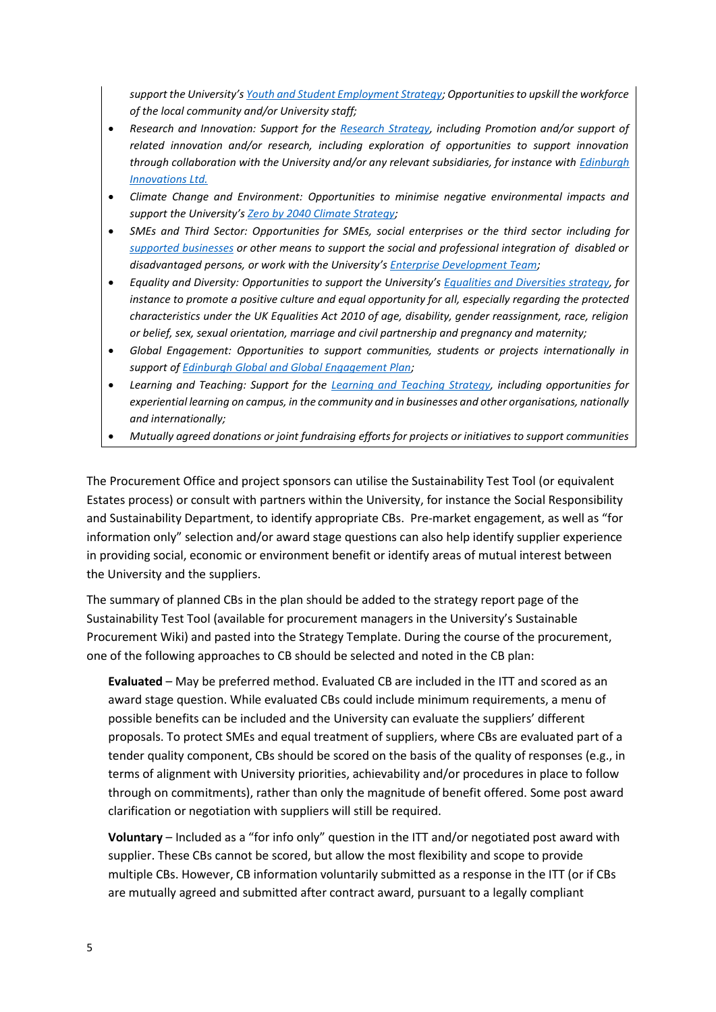*support the University's [Youth and Student Employment Strategy;](https://www.ed.ac.uk/human-resources/recruitment/youth-talent/youth-and-student-employment-strategy) Opportunities to upskill the workforce of the local community and/or University staff;*

- *Research and Innovation: Support for the [Research Strategy,](https://www.ed.ac.uk/research-support-office/toolkit-for-applicants/university-of-edinburgh-research-strategy) including Promotion and/or support of related innovation and/or research, including exploration of opportunities to support innovation through collaboration with the University and/or any relevant subsidiaries, for instance with [Edinburgh](http://edinburgh-innovations.ed.ac.uk/)  [Innovations Ltd.](http://edinburgh-innovations.ed.ac.uk/)*
- *Climate Change and Environment: Opportunities to minimise negative environmental impacts and support the University's [Zero by 2040 Climate Strategy;](http://www.ed.ac.uk/about/sustainability/themes/climate-change/climate-strategy)*
- *SMEs and Third Sector: Opportunities for SMEs, social enterprises or the third sector including for [supported businesses](http://www.gov.scot/Topics/Government/Procurement/buyer-information/SuppBus) or other means to support the social and professional integration of disabled or disadvantaged persons, or work with the University's [Enterprise Development Team;](https://www.ed.ac.uk/edinburgh-innovations/enterprise-development)*
- *Equality and Diversity: Opportunities to support the University's [Equalities and Diversities strategy,](http://www.ed.ac.uk/equality-diversity/about/strategy-action-plan) for instance to promote a positive culture and equal opportunity for all, especially regarding the protected characteristics under the UK Equalities Act 2010 of age, disability, gender reassignment, race, religion or belief, sex, sexual orientation, marriage and civil partnership and pregnancy and maternity;*
- *Global Engagement: Opportunities to support communities, students or projects internationally in support of [Edinburgh Global and Global Engagement Plan;](https://global.ed.ac.uk/our-work/global-profile)*
- *Learning and Teaching: Support for the [Learning and Teaching Strategy,](https://www.ed.ac.uk/files/atoms/files/learning_teaching_strategy.pdf) including opportunities for experiential learning on campus, in the community and in businesses and other organisations, nationally and internationally;*
- *Mutually agreed donations or joint fundraising efforts for projects or initiatives to support communities*

The Procurement Office and project sponsors can utilise the Sustainability Test Tool (or equivalent Estates process) or consult with partners within the University, for instance the Social Responsibility and Sustainability Department, to identify appropriate CBs. Pre-market engagement, as well as "for information only" selection and/or award stage questions can also help identify supplier experience in providing social, economic or environment benefit or identify areas of mutual interest between the University and the suppliers.

The summary of planned CBs in the plan should be added to the strategy report page of the Sustainability Test Tool (available for procurement managers in the University's Sustainable Procurement Wiki) and pasted into the Strategy Template. During the course of the procurement, one of the following approaches to CB should be selected and noted in the CB plan:

**Evaluated** – May be preferred method. Evaluated CB are included in the ITT and scored as an award stage question. While evaluated CBs could include minimum requirements, a menu of possible benefits can be included and the University can evaluate the suppliers' different proposals. To protect SMEs and equal treatment of suppliers, where CBs are evaluated part of a tender quality component, CBs should be scored on the basis of the quality of responses (e.g., in terms of alignment with University priorities, achievability and/or procedures in place to follow through on commitments), rather than only the magnitude of benefit offered. Some post award clarification or negotiation with suppliers will still be required.

**Voluntary** – Included as a "for info only" question in the ITT and/or negotiated post award with supplier. These CBs cannot be scored, but allow the most flexibility and scope to provide multiple CBs. However, CB information voluntarily submitted as a response in the ITT (or if CBs are mutually agreed and submitted after contract award, pursuant to a legally compliant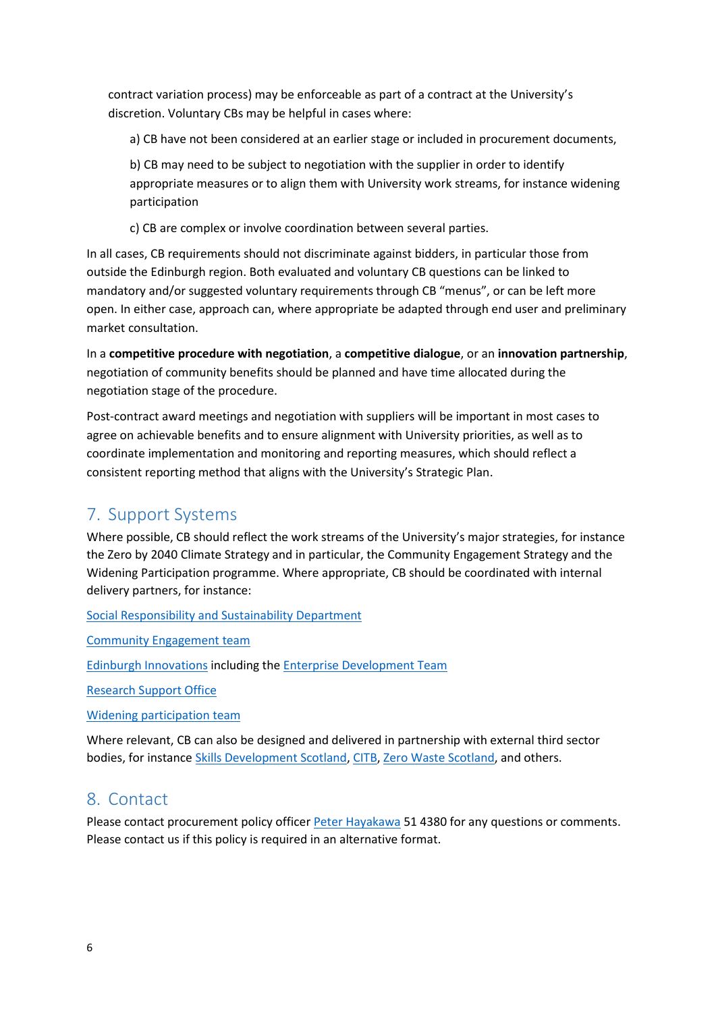contract variation process) may be enforceable as part of a contract at the University's discretion. Voluntary CBs may be helpful in cases where:

a) CB have not been considered at an earlier stage or included in procurement documents,

b) CB may need to be subject to negotiation with the supplier in order to identify appropriate measures or to align them with University work streams, for instance widening participation

c) CB are complex or involve coordination between several parties.

In all cases, CB requirements should not discriminate against bidders, in particular those from outside the Edinburgh region. Both evaluated and voluntary CB questions can be linked to mandatory and/or suggested voluntary requirements through CB "menus", or can be left more open. In either case, approach can, where appropriate be adapted through end user and preliminary market consultation.

In a **competitive procedure with negotiation**, a **competitive dialogue**, or an **innovation partnership**, negotiation of community benefits should be planned and have time allocated during the negotiation stage of the procedure.

Post-contract award meetings and negotiation with suppliers will be important in most cases to agree on achievable benefits and to ensure alignment with University priorities, as well as to coordinate implementation and monitoring and reporting measures, which should reflect a consistent reporting method that aligns with the University's Strategic Plan.

# <span id="page-5-0"></span>7. Support Systems

Where possible, CB should reflect the work streams of the University's major strategies, for instance the Zero by 2040 Climate Strategy and in particular, the Community Engagement Strategy and the Widening Participation programme. Where appropriate, CB should be coordinated with internal delivery partners, for instance:

[Social Responsibility and Sustainability Department](https://www.ed.ac.uk/about/sustainability)

[Community Engagement team](https://www.ed.ac.uk/about/sustainability/themes/community)

[Edinburgh Innovations](http://edinburgh-innovations.ed.ac.uk/) including th[e Enterprise Development Team](https://www.ed.ac.uk/edinburgh-innovations/enterprise-development)

[Research Support Office](https://www.ed.ac.uk/research-support-office)

[Widening participation team](https://www.ed.ac.uk/student-recruitment/widening-participation)

Where relevant, CB can also be designed and delivered in partnership with external third sector bodies, for instance [Skills Development Scotland,](http://www.skillsdevelopmentscotland.co.uk/) [CITB,](http://www.citb.co.uk/local-information/scotland/) [Zero Waste Scotland,](http://www.zerowastescotland.org.uk/) and others.

## <span id="page-5-1"></span>8. Contact

<span id="page-5-2"></span>Please contact procurement policy officer [Peter Hayakawa](mailto:peter.hayakawa@ed.ac.uk) 51 4380 for any questions or comments. Please contact us if this policy is required in an alternative format.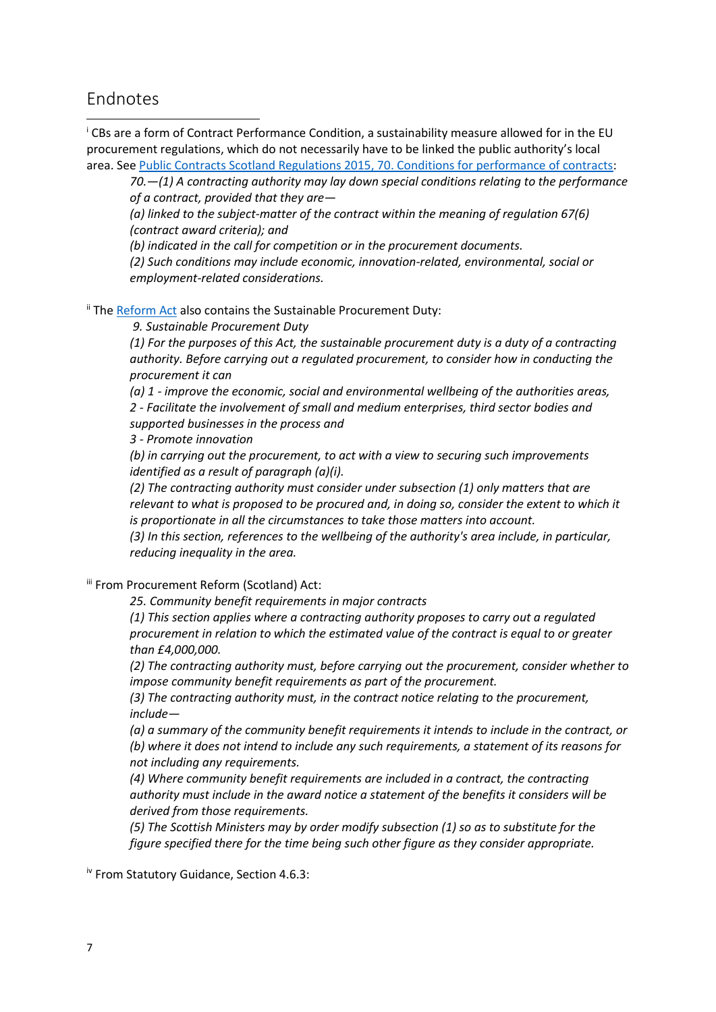#### Endnotes

**.** 

<sup>i</sup> CBs are a form of Contract Performance Condition, a sustainability measure allowed for in the EU procurement regulations, which do not necessarily have to be linked the public authority's local area. Se[e Public Contracts Scotland Regulations 2015, 70. Conditions for performance of contracts:](http://www.legislation.gov.uk/ssi/2015/446/regulation/70/made)

*70.—(1) A contracting authority may lay down special conditions relating to the performance of a contract, provided that they are—*

*(a) linked to the subject-matter of the contract within the meaning of regulation 67(6) (contract award criteria); and*

*(b) indicated in the call for competition or in the procurement documents.*

*(2) Such conditions may include economic, innovation-related, environmental, social or employment-related considerations.*

<sup>ii</sup> The [Reform Act](http://www.legislation.gov.uk/asp/2014/12/contents) also contains the Sustainable Procurement Duty:

*9. Sustainable Procurement Duty*

*(1) For the purposes of this Act, the sustainable procurement duty is a duty of a contracting authority. Before carrying out a regulated procurement, to consider how in conducting the procurement it can*

*(a) 1 - improve the economic, social and environmental wellbeing of the authorities areas, 2 - Facilitate the involvement of small and medium enterprises, third sector bodies and supported businesses in the process and*

*3 - Promote innovation*

*(b) in carrying out the procurement, to act with a view to securing such improvements identified as a result of paragraph (a)(i).*

*(2) The contracting authority must consider under subsection (1) only matters that are relevant to what is proposed to be procured and, in doing so, consider the extent to which it is proportionate in all the circumstances to take those matters into account.*

*(3) In this section, references to the wellbeing of the authority's area include, in particular, reducing inequality in the area.*

iii From Procurement Reform (Scotland) Act:

*25. Community benefit requirements in major contracts*

*(1) This section applies where a contracting authority proposes to carry out a regulated procurement in relation to which the estimated value of the contract is equal to or greater than £4,000,000.*

*(2) The contracting authority must, before carrying out the procurement, consider whether to impose community benefit requirements as part of the procurement.*

*(3) The contracting authority must, in the contract notice relating to the procurement, include—*

*(a) a summary of the community benefit requirements it intends to include in the contract, or (b) where it does not intend to include any such requirements, a statement of its reasons for not including any requirements.*

*(4) Where community benefit requirements are included in a contract, the contracting authority must include in the award notice a statement of the benefits it considers will be derived from those requirements.*

*(5) The Scottish Ministers may by order modify subsection (1) so as to substitute for the figure specified there for the time being such other figure as they consider appropriate.*

iv From Statutory Guidance, Section 4.6.3: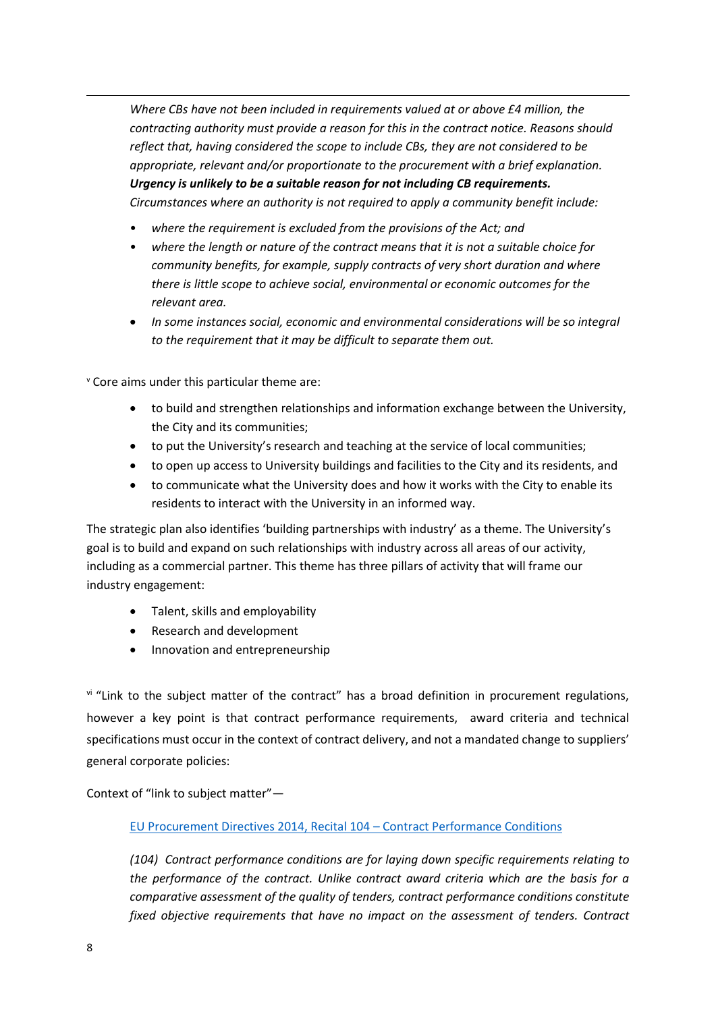*Where CBs have not been included in requirements valued at or above £4 million, the contracting authority must provide a reason for this in the contract notice. Reasons should reflect that, having considered the scope to include CBs, they are not considered to be appropriate, relevant and/or proportionate to the procurement with a brief explanation. Urgency is unlikely to be a suitable reason for not including CB requirements. Circumstances where an authority is not required to apply a community benefit include:* 

- *where the requirement is excluded from the provisions of the Act; and*
- *where the length or nature of the contract means that it is not a suitable choice for community benefits, for example, supply contracts of very short duration and where there is little scope to achieve social, environmental or economic outcomes for the relevant area.*
- *In some instances social, economic and environmental considerations will be so integral to the requirement that it may be difficult to separate them out.*

<sup>v</sup> Core aims under this particular theme are:

- to build and strengthen relationships and information exchange between the University, the City and its communities;
- to put the University's research and teaching at the service of local communities;
- to open up access to University buildings and facilities to the City and its residents, and
- to communicate what the University does and how it works with the City to enable its residents to interact with the University in an informed way.

The strategic plan also identifies 'building partnerships with industry' as a theme. The University's goal is to build and expand on such relationships with industry across all areas of our activity, including as a commercial partner. This theme has three pillars of activity that will frame our industry engagement:

- Talent, skills and employability
- Research and development
- Innovation and entrepreneurship

v<sup>i</sup> "Link to the subject matter of the contract" has a broad definition in procurement regulations, however a key point is that contract performance requirements, award criteria and technical specifications must occur in the context of contract delivery, and not a mandated change to suppliers' general corporate policies:

Context of "link to subject matter"—

#### [EU Procurement Directives 2014, Recital 104](file://///ed/dst/shared/CSG/Procurement/Policy%20Officer/Notes%20and%20Summaries/(104)Contract%20performance%20conditions%20are%20for%20laying%20down%20specific%20requirements%20relating%20to%20the%20performance%20of%20the%20contract.%20Unlike%20contract%20award%20criteria%20which%20are%20the%20basis%20for%20a%20comparative%20assessment%20of%20the%20quality%20of%20tenders,%20contract%20performance%20conditions%20constitute%20fixed%20objective%20requirements%20that%20have%20no%20impact%20on%20the%20assessment%20of%20tenders.%20Contract%20performance%20conditions%20should%20be%20compatible%20with%20this%20Directive%20provided%20that%20they%20are%20not%20directly%20or%20indirectly%20discriminatory%20and%20are%20linked%20to%20the%20subject-matter%20of%20the%20contract,%20which%20comprises%20all%20factors%20involved%20in%20the%20specific%20process%20of%20production,%20provision%20or%20commercialisation.%20This%20includes%20conditions%20concerning%20the%20process%20of%20performance%20of%20the%20contract,%20but%20excludes%20requirements%20referring%20to%20a%20general%20corporate%20policy.) – Contract Performance Conditions

*(104) Contract performance conditions are for laying down specific requirements relating to the performance of the contract. Unlike contract award criteria which are the basis for a comparative assessment of the quality of tenders, contract performance conditions constitute fixed objective requirements that have no impact on the assessment of tenders. Contract* 

1